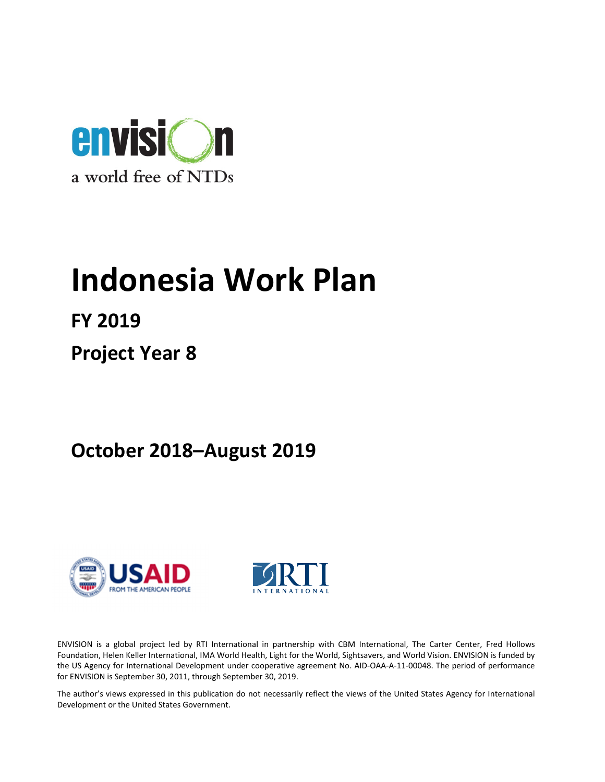

# Indonesia Work Plan

FY 2019

Project Year 8

October 2018–August 2019





ENVISION is a global project led by RTI International in partnership with CBM International, The Carter Center, Fred Hollows Foundation, Helen Keller International, IMA World Health, Light for the World, Sightsavers, and World Vision. ENVISION is funded by the US Agency for International Development under cooperative agreement No. AID-OAA-A-11-00048. The period of performance for ENVISION is September 30, 2011, through September 30, 2019.

The author's views expressed in this publication do not necessarily reflect the views of the United States Agency for International Development or the United States Government.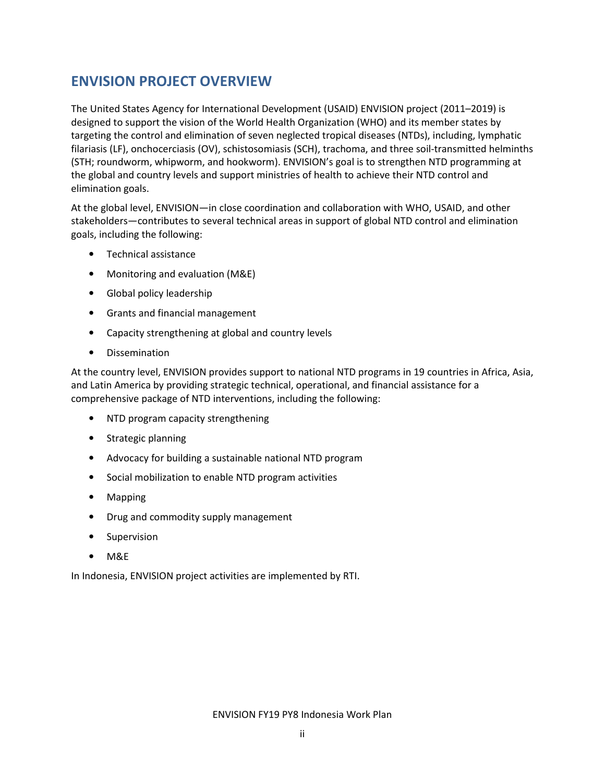# ENVISION PROJECT OVERVIEW

The United States Agency for International Development (USAID) ENVISION project (2011–2019) is designed to support the vision of the World Health Organization (WHO) and its member states by targeting the control and elimination of seven neglected tropical diseases (NTDs), including, lymphatic filariasis (LF), onchocerciasis (OV), schistosomiasis (SCH), trachoma, and three soil-transmitted helminths (STH; roundworm, whipworm, and hookworm). ENVISION's goal is to strengthen NTD programming at the global and country levels and support ministries of health to achieve their NTD control and elimination goals.

At the global level, ENVISION—in close coordination and collaboration with WHO, USAID, and other stakeholders—contributes to several technical areas in support of global NTD control and elimination goals, including the following:

- Technical assistance
- Monitoring and evaluation (M&E)
- Global policy leadership
- Grants and financial management
- Capacity strengthening at global and country levels
- Dissemination

At the country level, ENVISION provides support to national NTD programs in 19 countries in Africa, Asia, and Latin America by providing strategic technical, operational, and financial assistance for a comprehensive package of NTD interventions, including the following:

- NTD program capacity strengthening
- Strategic planning
- Advocacy for building a sustainable national NTD program
- Social mobilization to enable NTD program activities
- Mapping
- Drug and commodity supply management
- Supervision
- M&E

In Indonesia, ENVISION project activities are implemented by RTI.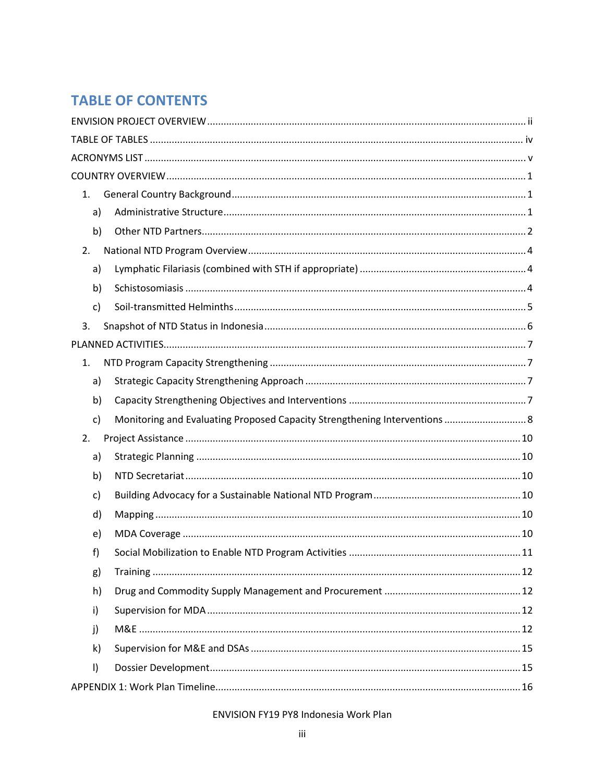# **TABLE OF CONTENTS**

| 1.           |                                                                            |  |
|--------------|----------------------------------------------------------------------------|--|
| a)           |                                                                            |  |
| b)           |                                                                            |  |
| 2.           |                                                                            |  |
| a)           |                                                                            |  |
| b)           |                                                                            |  |
| $\mathsf{C}$ |                                                                            |  |
| 3.           |                                                                            |  |
|              |                                                                            |  |
| 1.           |                                                                            |  |
| a)           |                                                                            |  |
| b)           |                                                                            |  |
| c)           | Monitoring and Evaluating Proposed Capacity Strengthening Interventions  8 |  |
| 2.           |                                                                            |  |
| a)           |                                                                            |  |
| b)           |                                                                            |  |
| c)           |                                                                            |  |
| d)           |                                                                            |  |
| e)           |                                                                            |  |
| f)           |                                                                            |  |
| g)           |                                                                            |  |
| h)           |                                                                            |  |
| i)           |                                                                            |  |
|              |                                                                            |  |
| j)           |                                                                            |  |
| $\mathsf{k}$ |                                                                            |  |
| $\vert$      |                                                                            |  |
|              |                                                                            |  |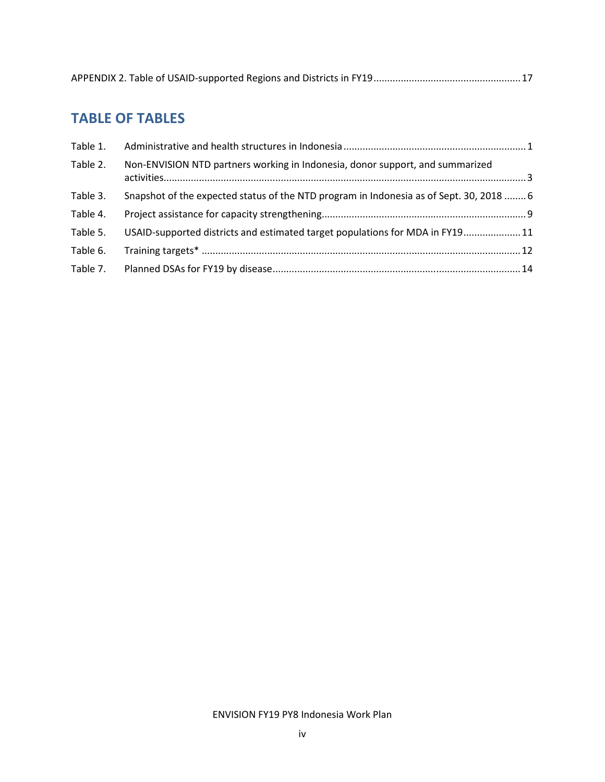|--|

# TABLE OF TABLES

| Table 1. |                                                                                         |  |
|----------|-----------------------------------------------------------------------------------------|--|
| Table 2. | Non-ENVISION NTD partners working in Indonesia, donor support, and summarized           |  |
| Table 3. | Snapshot of the expected status of the NTD program in Indonesia as of Sept. 30, 2018  6 |  |
| Table 4. |                                                                                         |  |
| Table 5. | USAID-supported districts and estimated target populations for MDA in FY1911            |  |
| Table 6. |                                                                                         |  |
| Table 7. |                                                                                         |  |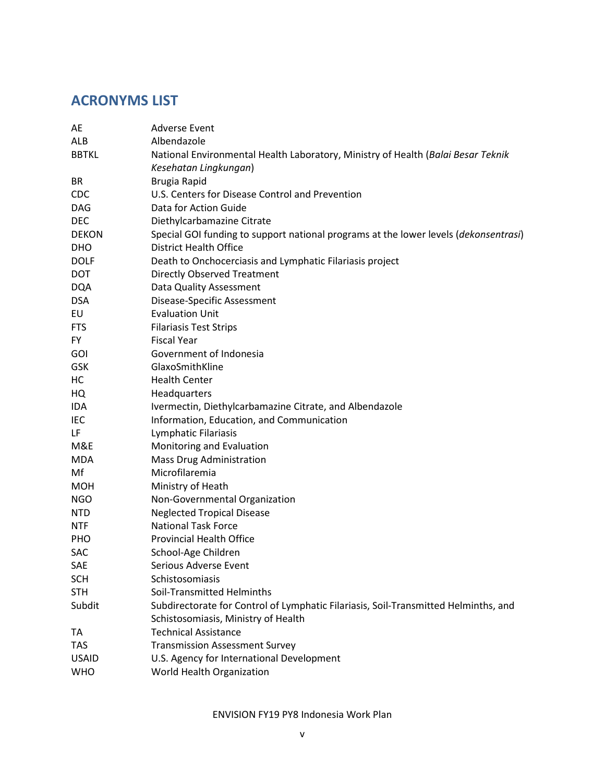# ACRONYMS LIST

| AE           | Adverse Event                                                                        |
|--------------|--------------------------------------------------------------------------------------|
| ALB          | Albendazole                                                                          |
| <b>BBTKL</b> | National Environmental Health Laboratory, Ministry of Health (Balai Besar Teknik     |
|              | Kesehatan Lingkungan)                                                                |
| <b>BR</b>    | Brugia Rapid                                                                         |
| <b>CDC</b>   | U.S. Centers for Disease Control and Prevention                                      |
| <b>DAG</b>   | Data for Action Guide                                                                |
| <b>DEC</b>   | Diethylcarbamazine Citrate                                                           |
| <b>DEKON</b> | Special GOI funding to support national programs at the lower levels (dekonsentrasi) |
| <b>DHO</b>   | <b>District Health Office</b>                                                        |
| <b>DOLF</b>  | Death to Onchocerciasis and Lymphatic Filariasis project                             |
| <b>DOT</b>   | <b>Directly Observed Treatment</b>                                                   |
| <b>DQA</b>   | Data Quality Assessment                                                              |
| <b>DSA</b>   | Disease-Specific Assessment                                                          |
| EU           | <b>Evaluation Unit</b>                                                               |
| <b>FTS</b>   | <b>Filariasis Test Strips</b>                                                        |
| <b>FY</b>    | <b>Fiscal Year</b>                                                                   |
| <b>GOI</b>   | Government of Indonesia                                                              |
| <b>GSK</b>   | GlaxoSmithKline                                                                      |
| HC           | <b>Health Center</b>                                                                 |
| HQ           | Headquarters                                                                         |
| IDA          | Ivermectin, Diethylcarbamazine Citrate, and Albendazole                              |
| IEC          | Information, Education, and Communication                                            |
| LF           | Lymphatic Filariasis                                                                 |
| M&E          | Monitoring and Evaluation                                                            |
| <b>MDA</b>   | Mass Drug Administration                                                             |
| Mf           | Microfilaremia                                                                       |
| <b>MOH</b>   | Ministry of Heath                                                                    |
| <b>NGO</b>   | Non-Governmental Organization                                                        |
| <b>NTD</b>   | <b>Neglected Tropical Disease</b>                                                    |
| <b>NTF</b>   | <b>National Task Force</b>                                                           |
| PHO          | <b>Provincial Health Office</b>                                                      |
| SAC          | School-Age Children                                                                  |
| SAE          | Serious Adverse Event                                                                |
| <b>SCH</b>   | Schistosomiasis                                                                      |
| <b>STH</b>   | Soil-Transmitted Helminths                                                           |
| Subdit       | Subdirectorate for Control of Lymphatic Filariasis, Soil-Transmitted Helminths, and  |
|              | Schistosomiasis, Ministry of Health                                                  |
| TA           | <b>Technical Assistance</b>                                                          |
| TAS          | <b>Transmission Assessment Survey</b>                                                |
| <b>USAID</b> | U.S. Agency for International Development                                            |
| <b>WHO</b>   | World Health Organization                                                            |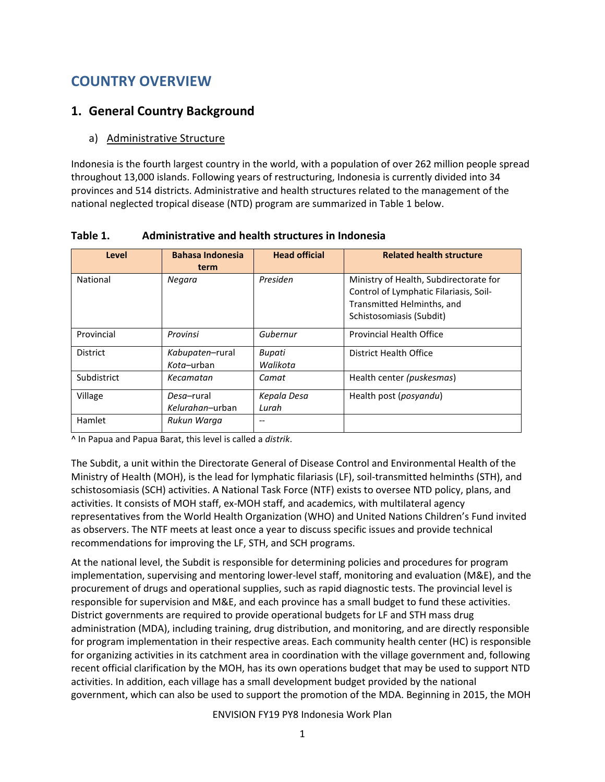# COUNTRY OVERVIEW

# 1. General Country Background

## a) Administrative Structure

Indonesia is the fourth largest country in the world, with a population of over 262 million people spread throughout 13,000 islands. Following years of restructuring, Indonesia is currently divided into 34 provinces and 514 districts. Administrative and health structures related to the management of the national neglected tropical disease (NTD) program are summarized in Table 1 below.

| Level           | <b>Bahasa Indonesia</b><br>term | <b>Head official</b> | <b>Related health structure</b>                                                                                                            |
|-----------------|---------------------------------|----------------------|--------------------------------------------------------------------------------------------------------------------------------------------|
| National        | Negara                          | Presiden             | Ministry of Health, Subdirectorate for<br>Control of Lymphatic Filariasis, Soil-<br>Transmitted Helminths, and<br>Schistosomiasis (Subdit) |
| Provincial      | Provinsi                        | Gubernur             | <b>Provincial Health Office</b>                                                                                                            |
| <b>District</b> | Kabupaten-rural<br>Kota-urban   | Bupati<br>Walikota   | District Health Office                                                                                                                     |
| Subdistrict     | Kecamatan                       | Camat                | Health center (puskesmas)                                                                                                                  |
| Village         | Desa-rural<br>Kelurahan-urban   | Kepala Desa<br>Lurah | Health post (posyandu)                                                                                                                     |
| Hamlet          | Rukun Warga                     |                      |                                                                                                                                            |

Table 1. Administrative and health structures in Indonesia

^ In Papua and Papua Barat, this level is called a distrik.

The Subdit, a unit within the Directorate General of Disease Control and Environmental Health of the Ministry of Health (MOH), is the lead for lymphatic filariasis (LF), soil-transmitted helminths (STH), and schistosomiasis (SCH) activities. A National Task Force (NTF) exists to oversee NTD policy, plans, and activities. It consists of MOH staff, ex-MOH staff, and academics, with multilateral agency representatives from the World Health Organization (WHO) and United Nations Children's Fund invited as observers. The NTF meets at least once a year to discuss specific issues and provide technical recommendations for improving the LF, STH, and SCH programs.

At the national level, the Subdit is responsible for determining policies and procedures for program implementation, supervising and mentoring lower-level staff, monitoring and evaluation (M&E), and the procurement of drugs and operational supplies, such as rapid diagnostic tests. The provincial level is responsible for supervision and M&E, and each province has a small budget to fund these activities. District governments are required to provide operational budgets for LF and STH mass drug administration (MDA), including training, drug distribution, and monitoring, and are directly responsible for program implementation in their respective areas. Each community health center (HC) is responsible for organizing activities in its catchment area in coordination with the village government and, following recent official clarification by the MOH, has its own operations budget that may be used to support NTD activities. In addition, each village has a small development budget provided by the national government, which can also be used to support the promotion of the MDA. Beginning in 2015, the MOH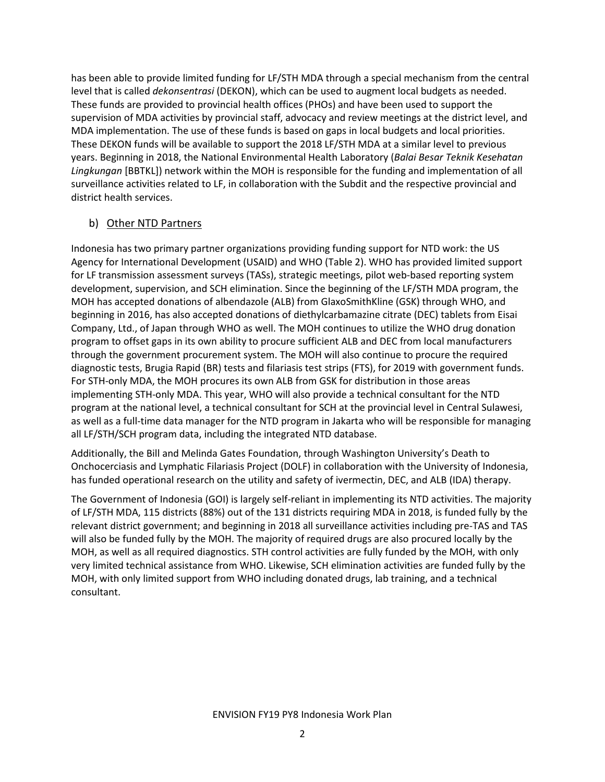has been able to provide limited funding for LF/STH MDA through a special mechanism from the central level that is called *dekonsentrasi* (DEKON), which can be used to augment local budgets as needed. These funds are provided to provincial health offices (PHOs) and have been used to support the supervision of MDA activities by provincial staff, advocacy and review meetings at the district level, and MDA implementation. The use of these funds is based on gaps in local budgets and local priorities. These DEKON funds will be available to support the 2018 LF/STH MDA at a similar level to previous years. Beginning in 2018, the National Environmental Health Laboratory (Balai Besar Teknik Kesehatan Lingkungan [BBTKL]) network within the MOH is responsible for the funding and implementation of all surveillance activities related to LF, in collaboration with the Subdit and the respective provincial and district health services.

## b) Other NTD Partners

Indonesia has two primary partner organizations providing funding support for NTD work: the US Agency for International Development (USAID) and WHO (Table 2). WHO has provided limited support for LF transmission assessment surveys (TASs), strategic meetings, pilot web-based reporting system development, supervision, and SCH elimination. Since the beginning of the LF/STH MDA program, the MOH has accepted donations of albendazole (ALB) from GlaxoSmithKline (GSK) through WHO, and beginning in 2016, has also accepted donations of diethylcarbamazine citrate (DEC) tablets from Eisai Company, Ltd., of Japan through WHO as well. The MOH continues to utilize the WHO drug donation program to offset gaps in its own ability to procure sufficient ALB and DEC from local manufacturers through the government procurement system. The MOH will also continue to procure the required diagnostic tests, Brugia Rapid (BR) tests and filariasis test strips (FTS), for 2019 with government funds. For STH-only MDA, the MOH procures its own ALB from GSK for distribution in those areas implementing STH-only MDA. This year, WHO will also provide a technical consultant for the NTD program at the national level, a technical consultant for SCH at the provincial level in Central Sulawesi, as well as a full-time data manager for the NTD program in Jakarta who will be responsible for managing all LF/STH/SCH program data, including the integrated NTD database.

Additionally, the Bill and Melinda Gates Foundation, through Washington University's Death to Onchocerciasis and Lymphatic Filariasis Project (DOLF) in collaboration with the University of Indonesia, has funded operational research on the utility and safety of ivermectin, DEC, and ALB (IDA) therapy.

The Government of Indonesia (GOI) is largely self-reliant in implementing its NTD activities. The majority of LF/STH MDA, 115 districts (88%) out of the 131 districts requiring MDA in 2018, is funded fully by the relevant district government; and beginning in 2018 all surveillance activities including pre-TAS and TAS will also be funded fully by the MOH. The majority of required drugs are also procured locally by the MOH, as well as all required diagnostics. STH control activities are fully funded by the MOH, with only very limited technical assistance from WHO. Likewise, SCH elimination activities are funded fully by the MOH, with only limited support from WHO including donated drugs, lab training, and a technical consultant.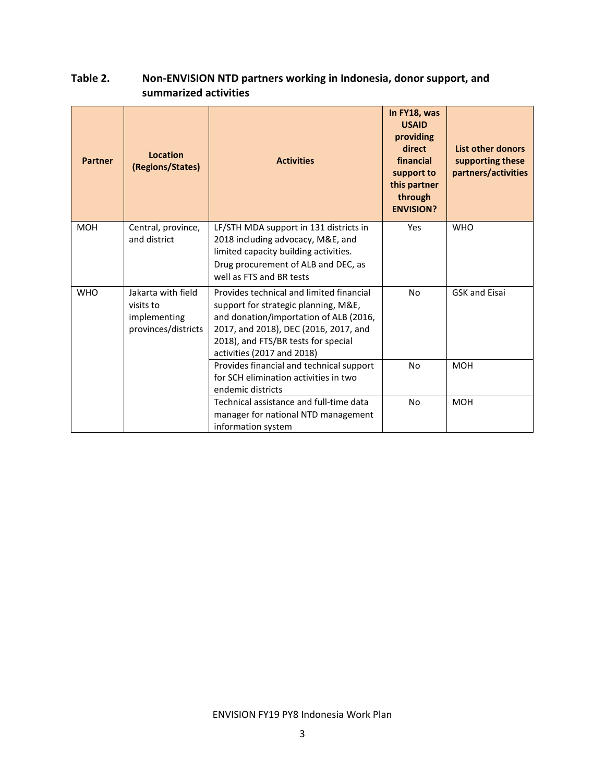# Table 2. Non-ENVISION NTD partners working in Indonesia, donor support, and summarized activities

| <b>Partner</b> | Location<br>(Regions/States)                                           | <b>Activities</b>                                                                                                                                                                                                                        | In FY18, was<br><b>USAID</b><br>providing<br>direct<br>financial<br>support to<br>this partner<br>through<br><b>ENVISION?</b> | List other donors<br>supporting these<br>partners/activities |
|----------------|------------------------------------------------------------------------|------------------------------------------------------------------------------------------------------------------------------------------------------------------------------------------------------------------------------------------|-------------------------------------------------------------------------------------------------------------------------------|--------------------------------------------------------------|
| <b>MOH</b>     | Central, province,<br>and district                                     | LF/STH MDA support in 131 districts in<br>2018 including advocacy, M&E, and<br>limited capacity building activities.<br>Drug procurement of ALB and DEC, as<br>well as FTS and BR tests                                                  | Yes                                                                                                                           | <b>WHO</b>                                                   |
| <b>WHO</b>     | Jakarta with field<br>visits to<br>implementing<br>provinces/districts | Provides technical and limited financial<br>support for strategic planning, M&E,<br>and donation/importation of ALB (2016,<br>2017, and 2018), DEC (2016, 2017, and<br>2018), and FTS/BR tests for special<br>activities (2017 and 2018) | <b>No</b>                                                                                                                     | <b>GSK and Eisai</b>                                         |
|                |                                                                        | Provides financial and technical support<br>for SCH elimination activities in two<br>endemic districts                                                                                                                                   | No                                                                                                                            | <b>MOH</b>                                                   |
|                |                                                                        | Technical assistance and full-time data<br>manager for national NTD management<br>information system                                                                                                                                     | <b>No</b>                                                                                                                     | <b>MOH</b>                                                   |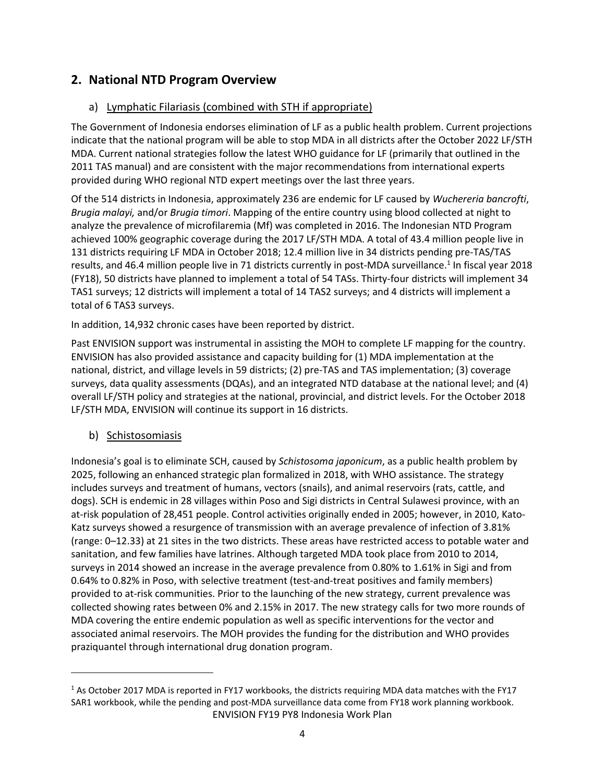# 2. National NTD Program Overview

#### a) Lymphatic Filariasis (combined with STH if appropriate)

The Government of Indonesia endorses elimination of LF as a public health problem. Current projections indicate that the national program will be able to stop MDA in all districts after the October 2022 LF/STH MDA. Current national strategies follow the latest WHO guidance for LF (primarily that outlined in the 2011 TAS manual) and are consistent with the major recommendations from international experts provided during WHO regional NTD expert meetings over the last three years.

Of the 514 districts in Indonesia, approximately 236 are endemic for LF caused by Wuchereria bancrofti, Brugia malayi, and/or Brugia timori. Mapping of the entire country using blood collected at night to analyze the prevalence of microfilaremia (Mf) was completed in 2016. The Indonesian NTD Program achieved 100% geographic coverage during the 2017 LF/STH MDA. A total of 43.4 million people live in 131 districts requiring LF MDA in October 2018; 12.4 million live in 34 districts pending pre-TAS/TAS results, and 46.4 million people live in 71 districts currently in post-MDA surveillance.<sup>1</sup> In fiscal year 2018 (FY18), 50 districts have planned to implement a total of 54 TASs. Thirty-four districts will implement 34 TAS1 surveys; 12 districts will implement a total of 14 TAS2 surveys; and 4 districts will implement a total of 6 TAS3 surveys.

In addition, 14,932 chronic cases have been reported by district.

Past ENVISION support was instrumental in assisting the MOH to complete LF mapping for the country. ENVISION has also provided assistance and capacity building for (1) MDA implementation at the national, district, and village levels in 59 districts; (2) pre-TAS and TAS implementation; (3) coverage surveys, data quality assessments (DQAs), and an integrated NTD database at the national level; and (4) overall LF/STH policy and strategies at the national, provincial, and district levels. For the October 2018 LF/STH MDA, ENVISION will continue its support in 16 districts.

b) Schistosomiasis

 $\overline{\phantom{a}}$ 

Indonesia's goal is to eliminate SCH, caused by Schistosoma japonicum, as a public health problem by 2025, following an enhanced strategic plan formalized in 2018, with WHO assistance. The strategy includes surveys and treatment of humans, vectors (snails), and animal reservoirs (rats, cattle, and dogs). SCH is endemic in 28 villages within Poso and Sigi districts in Central Sulawesi province, with an at-risk population of 28,451 people. Control activities originally ended in 2005; however, in 2010, Kato-Katz surveys showed a resurgence of transmission with an average prevalence of infection of 3.81% (range: 0–12.33) at 21 sites in the two districts. These areas have restricted access to potable water and sanitation, and few families have latrines. Although targeted MDA took place from 2010 to 2014, surveys in 2014 showed an increase in the average prevalence from 0.80% to 1.61% in Sigi and from 0.64% to 0.82% in Poso, with selective treatment (test-and-treat positives and family members) provided to at-risk communities. Prior to the launching of the new strategy, current prevalence was collected showing rates between 0% and 2.15% in 2017. The new strategy calls for two more rounds of MDA covering the entire endemic population as well as specific interventions for the vector and associated animal reservoirs. The MOH provides the funding for the distribution and WHO provides praziquantel through international drug donation program.

ENVISION FY19 PY8 Indonesia Work Plan <sup>1</sup> As October 2017 MDA is reported in FY17 workbooks, the districts requiring MDA data matches with the FY17 SAR1 workbook, while the pending and post-MDA surveillance data come from FY18 work planning workbook.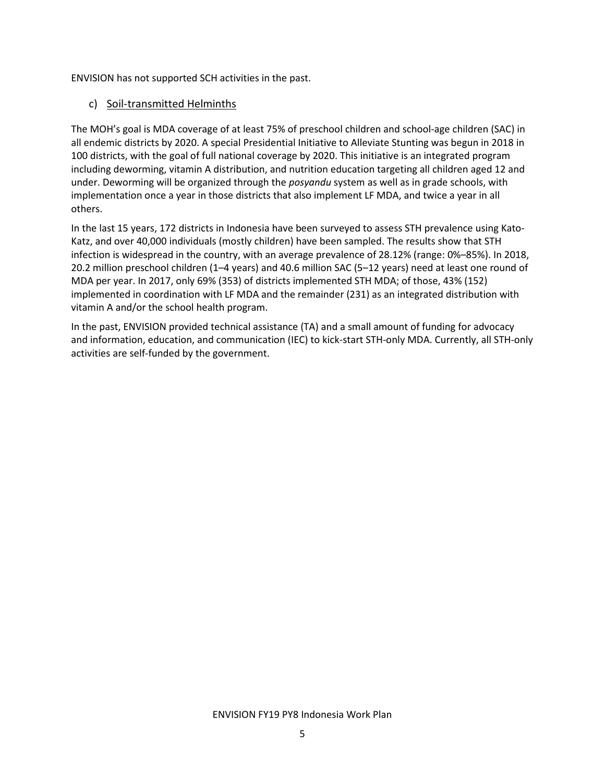ENVISION has not supported SCH activities in the past.

#### c) Soil-transmitted Helminths

The MOH's goal is MDA coverage of at least 75% of preschool children and school-age children (SAC) in all endemic districts by 2020. A special Presidential Initiative to Alleviate Stunting was begun in 2018 in 100 districts, with the goal of full national coverage by 2020. This initiative is an integrated program including deworming, vitamin A distribution, and nutrition education targeting all children aged 12 and under. Deworming will be organized through the *posyandu* system as well as in grade schools, with implementation once a year in those districts that also implement LF MDA, and twice a year in all others.

In the last 15 years, 172 districts in Indonesia have been surveyed to assess STH prevalence using Kato-Katz, and over 40,000 individuals (mostly children) have been sampled. The results show that STH infection is widespread in the country, with an average prevalence of 28.12% (range: 0%–85%). In 2018, 20.2 million preschool children (1–4 years) and 40.6 million SAC (5–12 years) need at least one round of MDA per year. In 2017, only 69% (353) of districts implemented STH MDA; of those, 43% (152) implemented in coordination with LF MDA and the remainder (231) as an integrated distribution with vitamin A and/or the school health program.

In the past, ENVISION provided technical assistance (TA) and a small amount of funding for advocacy and information, education, and communication (IEC) to kick-start STH-only MDA. Currently, all STH-only activities are self-funded by the government.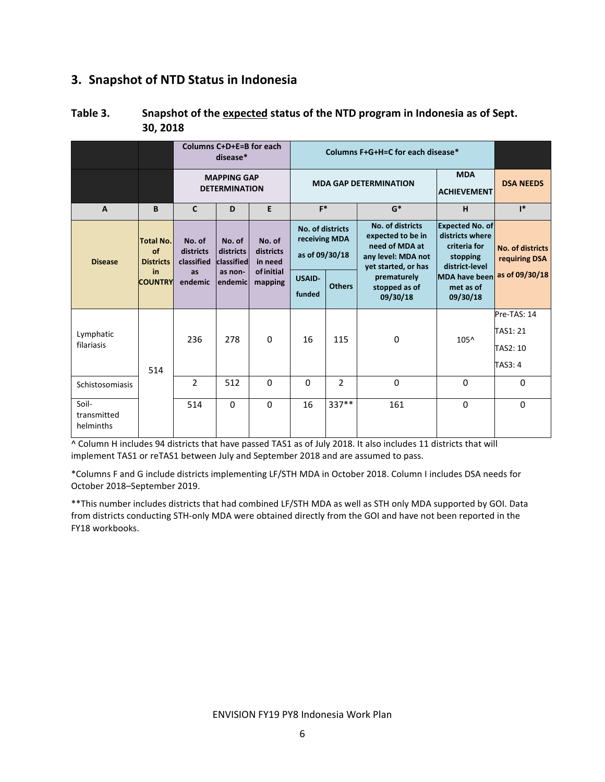# 3. Snapshot of NTD Status in Indonesia

|                                   |                                            |                                   | Columns C+D+E=B for each<br>disease*       |                                |                                                     |                         | Columns F+G+H=C for each disease* |                                          |                                               |                |  |  |                                                                                                      |                                                                                         |                                   |
|-----------------------------------|--------------------------------------------|-----------------------------------|--------------------------------------------|--------------------------------|-----------------------------------------------------|-------------------------|-----------------------------------|------------------------------------------|-----------------------------------------------|----------------|--|--|------------------------------------------------------------------------------------------------------|-----------------------------------------------------------------------------------------|-----------------------------------|
|                                   |                                            |                                   | <b>MAPPING GAP</b><br><b>DETERMINATION</b> |                                |                                                     |                         | <b>MDA GAP DETERMINATION</b>      | <b>MDA</b><br><b>ACHIEVEMENT</b>         | <b>DSA NEEDS</b>                              |                |  |  |                                                                                                      |                                                                                         |                                   |
| $\mathbf{A}$                      | B                                          | $\mathbf{C}$                      | D                                          | E                              | $F^*$                                               |                         | $G^*$                             | H                                        | $\mathsf{I}^*$                                |                |  |  |                                                                                                      |                                                                                         |                                   |
| <b>Disease</b>                    | <b>Total No.</b><br>of<br><b>Districts</b> | No. of<br>districts<br>classified | No. of<br>districts<br>classified          | No. of<br>districts<br>in need | No. of districts<br>receiving MDA<br>as of 09/30/18 |                         |                                   |                                          |                                               |                |  |  | No. of districts<br>expected to be in<br>need of MDA at<br>any level: MDA not<br>vet started, or has | <b>Expected No. of</b><br>districts where<br>criteria for<br>stopping<br>district-level | No. of districts<br>requiring DSA |
|                                   | in                                         | <b>COUNTRY</b>                    | as<br>endemic                              | as non-<br>endemicl            | of initial<br>mapping                               | <b>USAID-</b><br>funded | <b>Others</b>                     | prematurely<br>stopped as of<br>09/30/18 | <b>MDA have been</b><br>met as of<br>09/30/18 | as of 09/30/18 |  |  |                                                                                                      |                                                                                         |                                   |
| Lymphatic                         |                                            | 236                               | 278                                        | $\Omega$                       | 16                                                  | 115                     | $\Omega$                          | $105^{\circ}$                            | Pre-TAS: 14<br>TAS1: 21                       |                |  |  |                                                                                                      |                                                                                         |                                   |
| filariasis                        | 514                                        |                                   |                                            |                                |                                                     |                         |                                   |                                          | TAS2: 10<br>TAS3: 4                           |                |  |  |                                                                                                      |                                                                                         |                                   |
| Schistosomiasis                   |                                            | $\overline{2}$                    | 512                                        | $\Omega$                       | $\mathbf{0}$                                        | $\overline{2}$          | $\Omega$                          | $\Omega$                                 | $\Omega$                                      |                |  |  |                                                                                                      |                                                                                         |                                   |
| Soil-<br>transmitted<br>helminths |                                            | 514                               | $\Omega$                                   | $\Omega$                       | 16                                                  | 337**                   | 161                               | $\Omega$                                 | $\Omega$                                      |                |  |  |                                                                                                      |                                                                                         |                                   |

## Table 3. Snapshot of the expected status of the NTD program in Indonesia as of Sept. 30, 2018

^ Column H includes 94 districts that have passed TAS1 as of July 2018. It also includes 11 districts that will implement TAS1 or reTAS1 between July and September 2018 and are assumed to pass.

\*Columns F and G include districts implementing LF/STH MDA in October 2018. Column I includes DSA needs for October 2018–September 2019.

\*\*This number includes districts that had combined LF/STH MDA as well as STH only MDA supported by GOI. Data from districts conducting STH-only MDA were obtained directly from the GOI and have not been reported in the FY18 workbooks.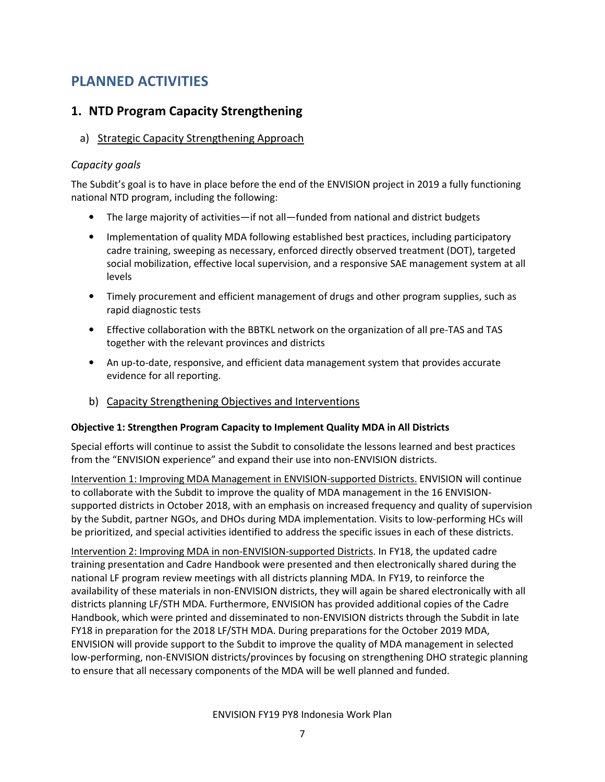# PLANNED ACTIVITIES

# 1. NTD Program Capacity Strengthening

# a) Strategic Capacity Strengthening Approach

# Capacity goals

The Subdit's goal is to have in place before the end of the ENVISION project in 2019 a fully functioning national NTD program, including the following:

- The large majority of activities—if not all—funded from national and district budgets
- Implementation of quality MDA following established best practices, including participatory cadre training, sweeping as necessary, enforced directly observed treatment (DOT), targeted social mobilization, effective local supervision, and a responsive SAE management system at all levels
- Timely procurement and efficient management of drugs and other program supplies, such as rapid diagnostic tests
- Effective collaboration with the BBTKL network on the organization of all pre-TAS and TAS together with the relevant provinces and districts
- An up-to-date, responsive, and efficient data management system that provides accurate evidence for all reporting.
- b) Capacity Strengthening Objectives and Interventions

## Objective 1: Strengthen Program Capacity to Implement Quality MDA in All Districts

Special efforts will continue to assist the Subdit to consolidate the lessons learned and best practices from the "ENVISION experience" and expand their use into non-ENVISION districts.

Intervention 1: Improving MDA Management in ENVISION-supported Districts. ENVISION will continue to collaborate with the Subdit to improve the quality of MDA management in the 16 ENVISIONsupported districts in October 2018, with an emphasis on increased frequency and quality of supervision by the Subdit, partner NGOs, and DHOs during MDA implementation. Visits to low-performing HCs will be prioritized, and special activities identified to address the specific issues in each of these districts.

Intervention 2: Improving MDA in non-ENVISION-supported Districts. In FY18, the updated cadre training presentation and Cadre Handbook were presented and then electronically shared during the national LF program review meetings with all districts planning MDA. In FY19, to reinforce the availability of these materials in non-ENVISION districts, they will again be shared electronically with all districts planning LF/STH MDA. Furthermore, ENVISION has provided additional copies of the Cadre Handbook, which were printed and disseminated to non-ENVISION districts through the Subdit in late FY18 in preparation for the 2018 LF/STH MDA. During preparations for the October 2019 MDA, ENVISION will provide support to the Subdit to improve the quality of MDA management in selected low-performing, non-ENVISION districts/provinces by focusing on strengthening DHO strategic planning to ensure that all necessary components of the MDA will be well planned and funded.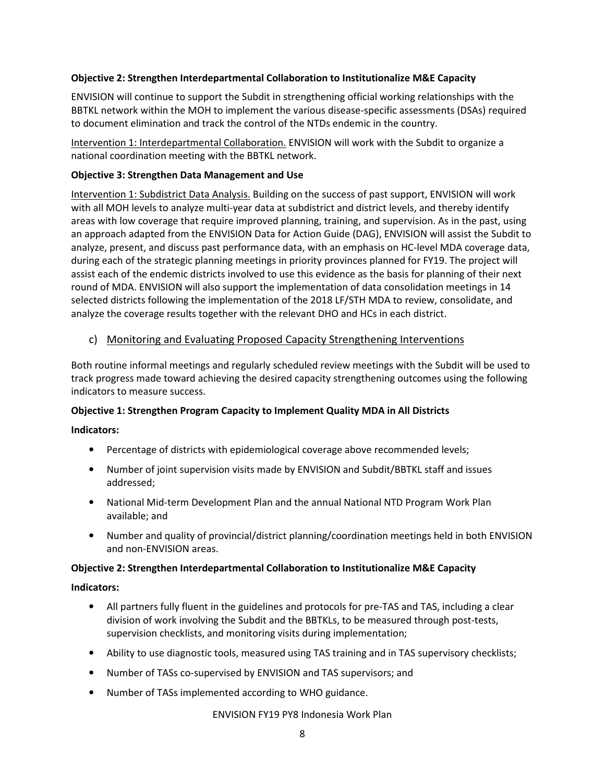#### Objective 2: Strengthen Interdepartmental Collaboration to Institutionalize M&E Capacity

ENVISION will continue to support the Subdit in strengthening official working relationships with the BBTKL network within the MOH to implement the various disease-specific assessments (DSAs) required to document elimination and track the control of the NTDs endemic in the country.

Intervention 1: Interdepartmental Collaboration. ENVISION will work with the Subdit to organize a national coordination meeting with the BBTKL network.

#### Objective 3: Strengthen Data Management and Use

Intervention 1: Subdistrict Data Analysis. Building on the success of past support, ENVISION will work with all MOH levels to analyze multi-year data at subdistrict and district levels, and thereby identify areas with low coverage that require improved planning, training, and supervision. As in the past, using an approach adapted from the ENVISION Data for Action Guide (DAG), ENVISION will assist the Subdit to analyze, present, and discuss past performance data, with an emphasis on HC-level MDA coverage data, during each of the strategic planning meetings in priority provinces planned for FY19. The project will assist each of the endemic districts involved to use this evidence as the basis for planning of their next round of MDA. ENVISION will also support the implementation of data consolidation meetings in 14 selected districts following the implementation of the 2018 LF/STH MDA to review, consolidate, and analyze the coverage results together with the relevant DHO and HCs in each district.

#### c) Monitoring and Evaluating Proposed Capacity Strengthening Interventions

Both routine informal meetings and regularly scheduled review meetings with the Subdit will be used to track progress made toward achieving the desired capacity strengthening outcomes using the following indicators to measure success.

#### Objective 1: Strengthen Program Capacity to Implement Quality MDA in All Districts

#### Indicators:

- Percentage of districts with epidemiological coverage above recommended levels;
- Number of joint supervision visits made by ENVISION and Subdit/BBTKL staff and issues addressed;
- National Mid-term Development Plan and the annual National NTD Program Work Plan available; and
- Number and quality of provincial/district planning/coordination meetings held in both ENVISION and non-ENVISION areas.

#### Objective 2: Strengthen Interdepartmental Collaboration to Institutionalize M&E Capacity

#### Indicators:

- All partners fully fluent in the guidelines and protocols for pre-TAS and TAS, including a clear division of work involving the Subdit and the BBTKLs, to be measured through post-tests, supervision checklists, and monitoring visits during implementation;
- Ability to use diagnostic tools, measured using TAS training and in TAS supervisory checklists;
- Number of TASs co-supervised by ENVISION and TAS supervisors; and
- Number of TASs implemented according to WHO guidance.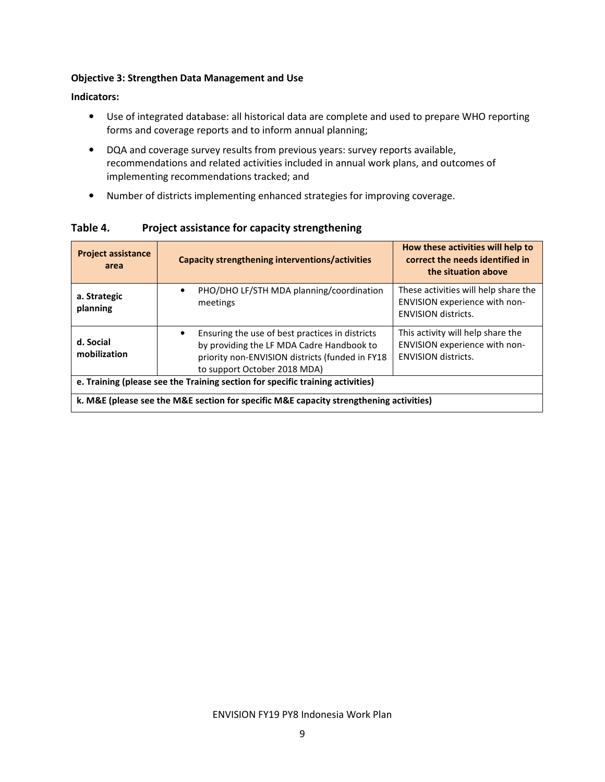#### Objective 3: Strengthen Data Management and Use

#### Indicators:

- Use of integrated database: all historical data are complete and used to prepare WHO reporting forms and coverage reports and to inform annual planning;
- DQA and coverage survey results from previous years: survey reports available, recommendations and related activities included in annual work plans, and outcomes of implementing recommendations tracked; and
- Number of districts implementing enhanced strategies for improving coverage.

Project assistance area Capacity strengthening interventions/activities How these activities will help to correct the needs identified in the situation above a. Strategic planning • PHO/DHO LF/STH MDA planning/coordination meetings These activities will help share the ENVISION experience with non-ENVISION districts. d. Social mobilization • Ensuring the use of best practices in districts by providing the LF MDA Cadre Handbook to priority non-ENVISION districts (funded in FY18 to support October 2018 MDA) This activity will help share the ENVISION experience with non-ENVISION districts. e. Training (please see the Training section for specific training activities) k. M&E (please see the M&E section for specific M&E capacity strengthening activities)

Table 4. Project assistance for capacity strengthening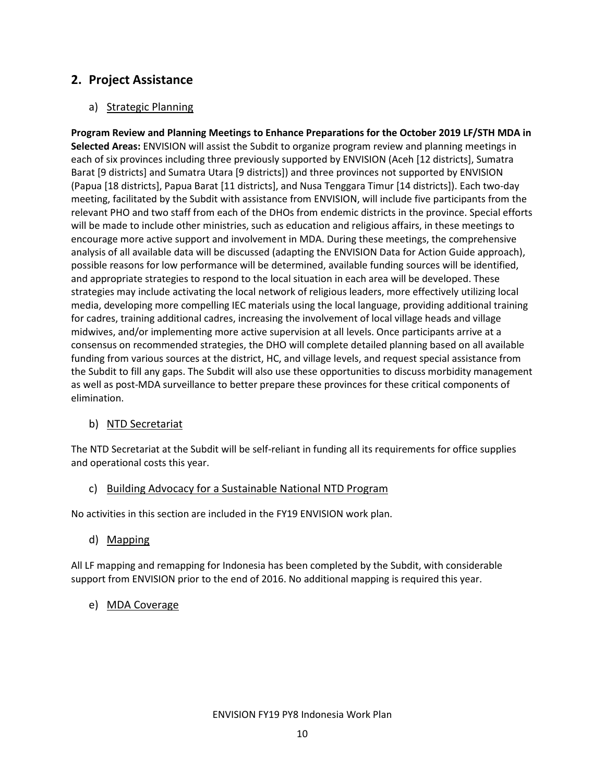# 2. Project Assistance

## a) Strategic Planning

Program Review and Planning Meetings to Enhance Preparations for the October 2019 LF/STH MDA in Selected Areas: ENVISION will assist the Subdit to organize program review and planning meetings in each of six provinces including three previously supported by ENVISION (Aceh [12 districts], Sumatra Barat [9 districts] and Sumatra Utara [9 districts]) and three provinces not supported by ENVISION (Papua [18 districts], Papua Barat [11 districts], and Nusa Tenggara Timur [14 districts]). Each two-day meeting, facilitated by the Subdit with assistance from ENVISION, will include five participants from the relevant PHO and two staff from each of the DHOs from endemic districts in the province. Special efforts will be made to include other ministries, such as education and religious affairs, in these meetings to encourage more active support and involvement in MDA. During these meetings, the comprehensive analysis of all available data will be discussed (adapting the ENVISION Data for Action Guide approach), possible reasons for low performance will be determined, available funding sources will be identified, and appropriate strategies to respond to the local situation in each area will be developed. These strategies may include activating the local network of religious leaders, more effectively utilizing local media, developing more compelling IEC materials using the local language, providing additional training for cadres, training additional cadres, increasing the involvement of local village heads and village midwives, and/or implementing more active supervision at all levels. Once participants arrive at a consensus on recommended strategies, the DHO will complete detailed planning based on all available funding from various sources at the district, HC, and village levels, and request special assistance from the Subdit to fill any gaps. The Subdit will also use these opportunities to discuss morbidity management as well as post-MDA surveillance to better prepare these provinces for these critical components of elimination.

## b) NTD Secretariat

The NTD Secretariat at the Subdit will be self-reliant in funding all its requirements for office supplies and operational costs this year.

#### c) Building Advocacy for a Sustainable National NTD Program

No activities in this section are included in the FY19 ENVISION work plan.

d) Mapping

All LF mapping and remapping for Indonesia has been completed by the Subdit, with considerable support from ENVISION prior to the end of 2016. No additional mapping is required this year.

e) MDA Coverage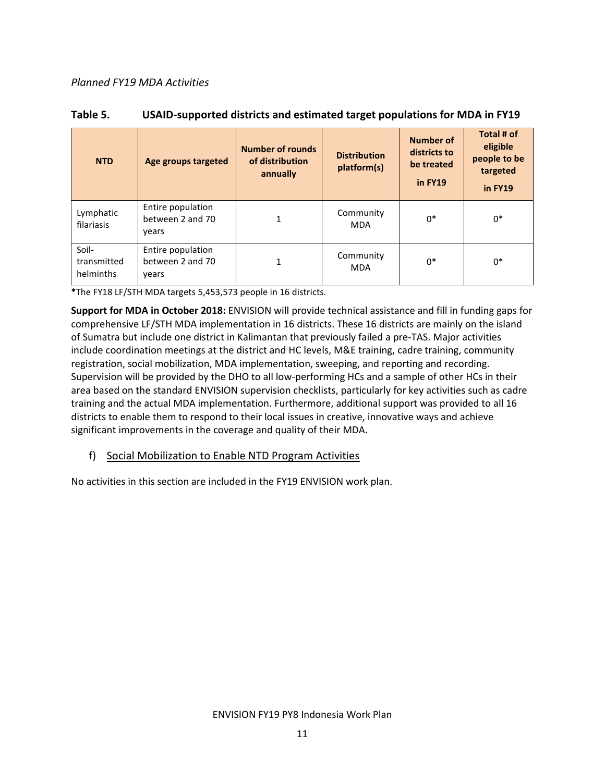#### Planned FY19 MDA Activities

| <b>NTD</b>                        | Age groups targeted                            | <b>Number of rounds</b><br>of distribution<br>annually | <b>Distribution</b><br>platform(s) | <b>Number of</b><br>districts to<br>be treated<br>in FY19 | Total # of<br>eligible<br>people to be<br>targeted<br>in FY19 |
|-----------------------------------|------------------------------------------------|--------------------------------------------------------|------------------------------------|-----------------------------------------------------------|---------------------------------------------------------------|
| Lymphatic<br>filariasis           | Entire population<br>between 2 and 70<br>years | 1                                                      | Community<br><b>MDA</b>            | $0*$                                                      | $0*$                                                          |
| Soil-<br>transmitted<br>helminths | Entire population<br>between 2 and 70<br>vears | 1                                                      | Community<br><b>MDA</b>            | $0*$                                                      | $0*$                                                          |

#### Table 5. USAID-supported districts and estimated target populations for MDA in FY19

\*The FY18 LF/STH MDA targets 5,453,573 people in 16 districts.

Support for MDA in October 2018: ENVISION will provide technical assistance and fill in funding gaps for comprehensive LF/STH MDA implementation in 16 districts. These 16 districts are mainly on the island of Sumatra but include one district in Kalimantan that previously failed a pre-TAS. Major activities include coordination meetings at the district and HC levels, M&E training, cadre training, community registration, social mobilization, MDA implementation, sweeping, and reporting and recording. Supervision will be provided by the DHO to all low-performing HCs and a sample of other HCs in their area based on the standard ENVISION supervision checklists, particularly for key activities such as cadre training and the actual MDA implementation. Furthermore, additional support was provided to all 16 districts to enable them to respond to their local issues in creative, innovative ways and achieve significant improvements in the coverage and quality of their MDA.

#### f) Social Mobilization to Enable NTD Program Activities

No activities in this section are included in the FY19 ENVISION work plan.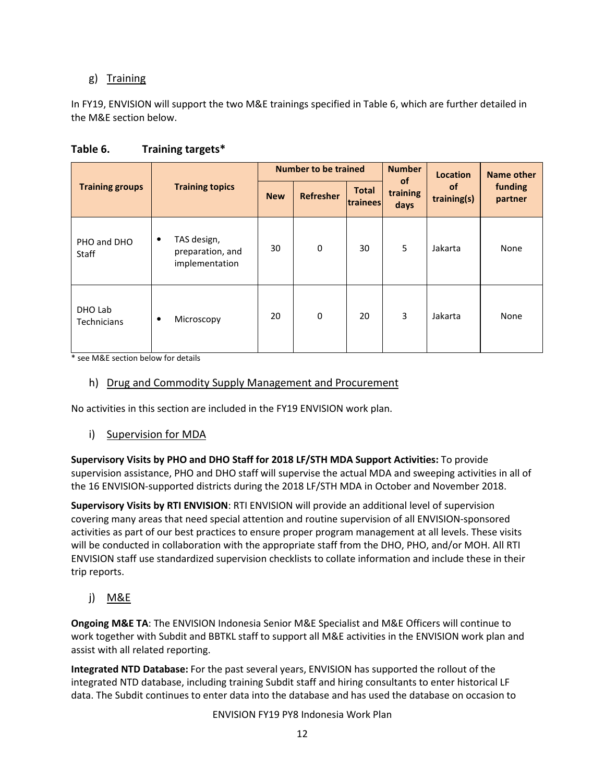# g) Training

In FY19, ENVISION will support the two M&E trainings specified in Table 6, which are further detailed in the M&E section below.

|                               |                                                        |            | <b>Number to be trained</b> |                          | <b>Number</b><br><b>of</b> | Location                 | Name other         |
|-------------------------------|--------------------------------------------------------|------------|-----------------------------|--------------------------|----------------------------|--------------------------|--------------------|
| <b>Training groups</b>        | <b>Training topics</b>                                 | <b>New</b> | <b>Refresher</b>            | <b>Total</b><br>trainees | training<br>days           | <b>of</b><br>training(s) | funding<br>partner |
| PHO and DHO<br><b>Staff</b>   | TAS design,<br>٠<br>preparation, and<br>implementation | 30         | $\mathbf 0$                 | 30                       | 5                          | Jakarta                  | None               |
| DHO Lab<br><b>Technicians</b> | Microscopy<br>٠                                        | 20         | $\mathbf 0$                 | 20                       | 3                          | Jakarta                  | None               |

## Table 6. Training targets\*

\* see M&E section below for details

#### h) Drug and Commodity Supply Management and Procurement

No activities in this section are included in the FY19 ENVISION work plan.

## i) Supervision for MDA

Supervisory Visits by PHO and DHO Staff for 2018 LF/STH MDA Support Activities: To provide supervision assistance, PHO and DHO staff will supervise the actual MDA and sweeping activities in all of the 16 ENVISION-supported districts during the 2018 LF/STH MDA in October and November 2018.

Supervisory Visits by RTI ENVISION: RTI ENVISION will provide an additional level of supervision covering many areas that need special attention and routine supervision of all ENVISION-sponsored activities as part of our best practices to ensure proper program management at all levels. These visits will be conducted in collaboration with the appropriate staff from the DHO, PHO, and/or MOH. All RTI ENVISION staff use standardized supervision checklists to collate information and include these in their trip reports.

j) M&E

Ongoing M&E TA: The ENVISION Indonesia Senior M&E Specialist and M&E Officers will continue to work together with Subdit and BBTKL staff to support all M&E activities in the ENVISION work plan and assist with all related reporting.

Integrated NTD Database: For the past several years, ENVISION has supported the rollout of the integrated NTD database, including training Subdit staff and hiring consultants to enter historical LF data. The Subdit continues to enter data into the database and has used the database on occasion to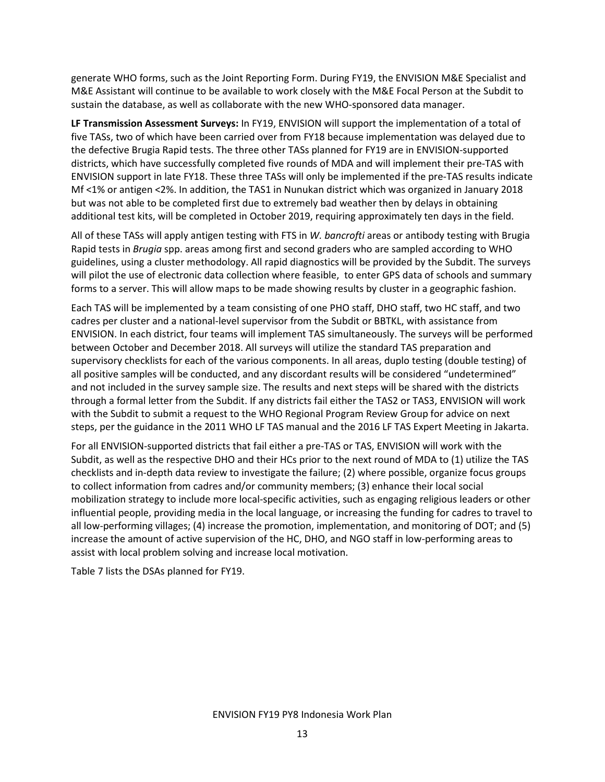generate WHO forms, such as the Joint Reporting Form. During FY19, the ENVISION M&E Specialist and M&E Assistant will continue to be available to work closely with the M&E Focal Person at the Subdit to sustain the database, as well as collaborate with the new WHO-sponsored data manager.

LF Transmission Assessment Surveys: In FY19, ENVISION will support the implementation of a total of five TASs, two of which have been carried over from FY18 because implementation was delayed due to the defective Brugia Rapid tests. The three other TASs planned for FY19 are in ENVISION-supported districts, which have successfully completed five rounds of MDA and will implement their pre-TAS with ENVISION support in late FY18. These three TASs will only be implemented if the pre-TAS results indicate Mf <1% or antigen <2%. In addition, the TAS1 in Nunukan district which was organized in January 2018 but was not able to be completed first due to extremely bad weather then by delays in obtaining additional test kits, will be completed in October 2019, requiring approximately ten days in the field.

All of these TASs will apply antigen testing with FTS in W. bancrofti areas or antibody testing with Brugia Rapid tests in Brugia spp. areas among first and second graders who are sampled according to WHO guidelines, using a cluster methodology. All rapid diagnostics will be provided by the Subdit. The surveys will pilot the use of electronic data collection where feasible, to enter GPS data of schools and summary forms to a server. This will allow maps to be made showing results by cluster in a geographic fashion.

Each TAS will be implemented by a team consisting of one PHO staff, DHO staff, two HC staff, and two cadres per cluster and a national-level supervisor from the Subdit or BBTKL, with assistance from ENVISION. In each district, four teams will implement TAS simultaneously. The surveys will be performed between October and December 2018. All surveys will utilize the standard TAS preparation and supervisory checklists for each of the various components. In all areas, duplo testing (double testing) of all positive samples will be conducted, and any discordant results will be considered "undetermined" and not included in the survey sample size. The results and next steps will be shared with the districts through a formal letter from the Subdit. If any districts fail either the TAS2 or TAS3, ENVISION will work with the Subdit to submit a request to the WHO Regional Program Review Group for advice on next steps, per the guidance in the 2011 WHO LF TAS manual and the 2016 LF TAS Expert Meeting in Jakarta.

For all ENVISION-supported districts that fail either a pre-TAS or TAS, ENVISION will work with the Subdit, as well as the respective DHO and their HCs prior to the next round of MDA to (1) utilize the TAS checklists and in-depth data review to investigate the failure; (2) where possible, organize focus groups to collect information from cadres and/or community members; (3) enhance their local social mobilization strategy to include more local-specific activities, such as engaging religious leaders or other influential people, providing media in the local language, or increasing the funding for cadres to travel to all low-performing villages; (4) increase the promotion, implementation, and monitoring of DOT; and (5) increase the amount of active supervision of the HC, DHO, and NGO staff in low-performing areas to assist with local problem solving and increase local motivation.

Table 7 lists the DSAs planned for FY19.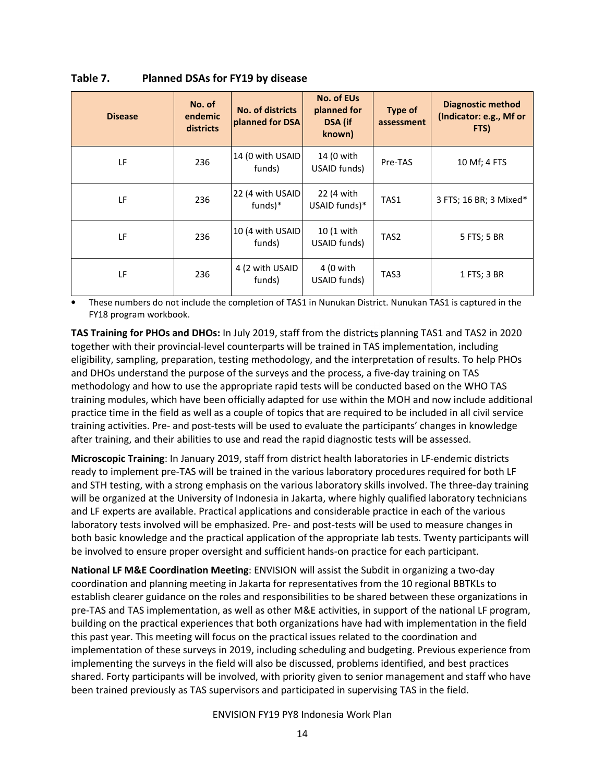| <b>Disease</b> | No. of<br>endemic<br>districts | No. of districts<br>planned for DSA | No. of EUs<br>planned for<br>DSA (if<br>known) | Type of<br>assessment | <b>Diagnostic method</b><br>(Indicator: e.g., Mf or<br>FTS) |
|----------------|--------------------------------|-------------------------------------|------------------------------------------------|-----------------------|-------------------------------------------------------------|
| LF             | 236                            | 14 (0 with USAID<br>funds)          | 14 (0 with<br>USAID funds)                     | Pre-TAS               | 10 Mf; 4 FTS                                                |
| LF             | 236                            | 22 (4 with USAID)<br>funds)*        | 22 (4 with<br>USAID funds)*                    | TAS1                  | 3 FTS; 16 BR; 3 Mixed*                                      |
| LF             | 236                            | 10 (4 with USAID)<br>funds)         | $10(1$ with<br>USAID funds)                    | TAS <sub>2</sub>      | 5 FTS; 5 BR                                                 |
| LF             | 236                            | 4 (2 with USAID<br>funds)           | 4 (0 with<br>USAID funds)                      | TAS3                  | 1 FTS; 3 BR                                                 |

Table 7. Planned DSAs for FY19 by disease

• These numbers do not include the completion of TAS1 in Nunukan District. Nunukan TAS1 is captured in the FY18 program workbook.

TAS Training for PHOs and DHOs: In July 2019, staff from the districts planning TAS1 and TAS2 in 2020 together with their provincial-level counterparts will be trained in TAS implementation, including eligibility, sampling, preparation, testing methodology, and the interpretation of results. To help PHOs and DHOs understand the purpose of the surveys and the process, a five-day training on TAS methodology and how to use the appropriate rapid tests will be conducted based on the WHO TAS training modules, which have been officially adapted for use within the MOH and now include additional practice time in the field as well as a couple of topics that are required to be included in all civil service training activities. Pre- and post-tests will be used to evaluate the participants' changes in knowledge after training, and their abilities to use and read the rapid diagnostic tests will be assessed.

Microscopic Training: In January 2019, staff from district health laboratories in LF-endemic districts ready to implement pre-TAS will be trained in the various laboratory procedures required for both LF and STH testing, with a strong emphasis on the various laboratory skills involved. The three-day training will be organized at the University of Indonesia in Jakarta, where highly qualified laboratory technicians and LF experts are available. Practical applications and considerable practice in each of the various laboratory tests involved will be emphasized. Pre- and post-tests will be used to measure changes in both basic knowledge and the practical application of the appropriate lab tests. Twenty participants will be involved to ensure proper oversight and sufficient hands-on practice for each participant.

National LF M&E Coordination Meeting: ENVISION will assist the Subdit in organizing a two-day coordination and planning meeting in Jakarta for representatives from the 10 regional BBTKLs to establish clearer guidance on the roles and responsibilities to be shared between these organizations in pre-TAS and TAS implementation, as well as other M&E activities, in support of the national LF program, building on the practical experiences that both organizations have had with implementation in the field this past year. This meeting will focus on the practical issues related to the coordination and implementation of these surveys in 2019, including scheduling and budgeting. Previous experience from implementing the surveys in the field will also be discussed, problems identified, and best practices shared. Forty participants will be involved, with priority given to senior management and staff who have been trained previously as TAS supervisors and participated in supervising TAS in the field.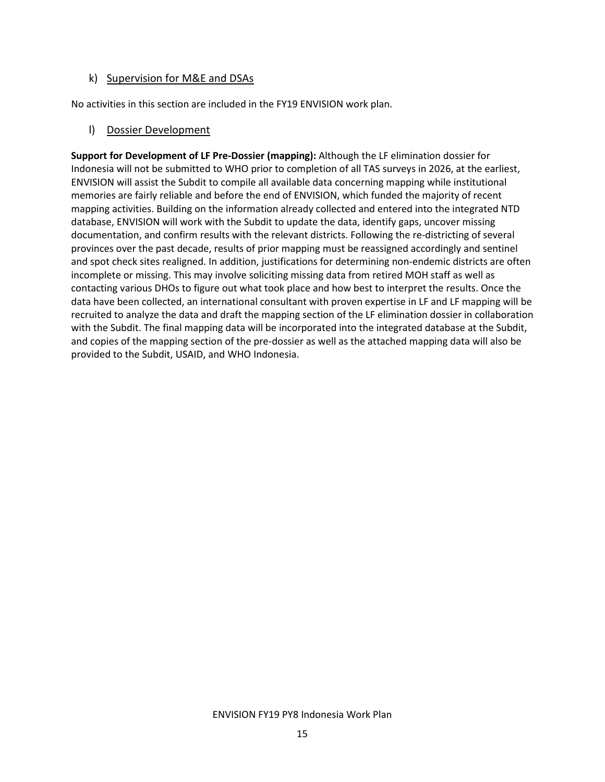#### k) Supervision for M&E and DSAs

No activities in this section are included in the FY19 ENVISION work plan.

#### l) Dossier Development

Support for Development of LF Pre-Dossier (mapping): Although the LF elimination dossier for Indonesia will not be submitted to WHO prior to completion of all TAS surveys in 2026, at the earliest, ENVISION will assist the Subdit to compile all available data concerning mapping while institutional memories are fairly reliable and before the end of ENVISION, which funded the majority of recent mapping activities. Building on the information already collected and entered into the integrated NTD database, ENVISION will work with the Subdit to update the data, identify gaps, uncover missing documentation, and confirm results with the relevant districts. Following the re-districting of several provinces over the past decade, results of prior mapping must be reassigned accordingly and sentinel and spot check sites realigned. In addition, justifications for determining non-endemic districts are often incomplete or missing. This may involve soliciting missing data from retired MOH staff as well as contacting various DHOs to figure out what took place and how best to interpret the results. Once the data have been collected, an international consultant with proven expertise in LF and LF mapping will be recruited to analyze the data and draft the mapping section of the LF elimination dossier in collaboration with the Subdit. The final mapping data will be incorporated into the integrated database at the Subdit, and copies of the mapping section of the pre-dossier as well as the attached mapping data will also be provided to the Subdit, USAID, and WHO Indonesia.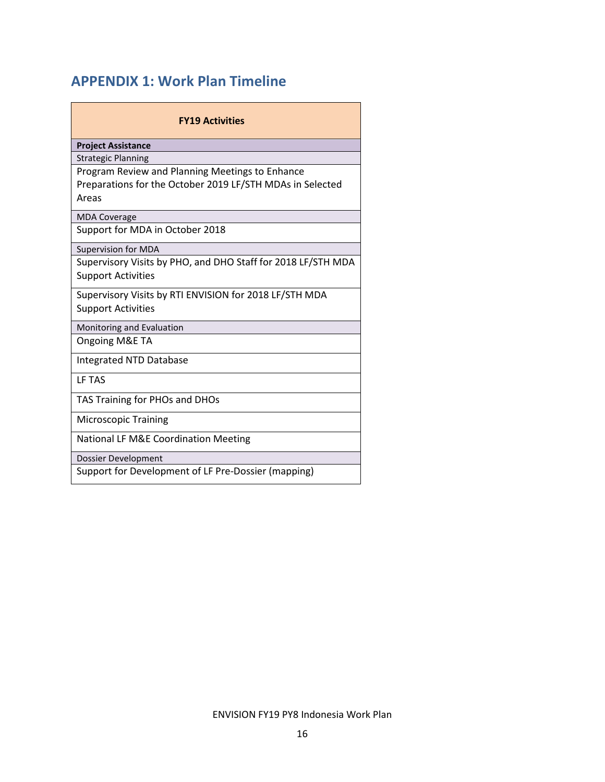# APPENDIX 1: Work Plan Timeline

| <b>FY19 Activities</b>                                       |  |  |  |  |  |  |
|--------------------------------------------------------------|--|--|--|--|--|--|
| <b>Project Assistance</b>                                    |  |  |  |  |  |  |
| <b>Strategic Planning</b>                                    |  |  |  |  |  |  |
| Program Review and Planning Meetings to Enhance              |  |  |  |  |  |  |
| Preparations for the October 2019 LF/STH MDAs in Selected    |  |  |  |  |  |  |
| Areas                                                        |  |  |  |  |  |  |
| <b>MDA Coverage</b>                                          |  |  |  |  |  |  |
| Support for MDA in October 2018                              |  |  |  |  |  |  |
| <b>Supervision for MDA</b>                                   |  |  |  |  |  |  |
| Supervisory Visits by PHO, and DHO Staff for 2018 LF/STH MDA |  |  |  |  |  |  |
| <b>Support Activities</b>                                    |  |  |  |  |  |  |
| Supervisory Visits by RTI ENVISION for 2018 LF/STH MDA       |  |  |  |  |  |  |
| <b>Support Activities</b>                                    |  |  |  |  |  |  |
| Monitoring and Evaluation                                    |  |  |  |  |  |  |
| Ongoing M&E TA                                               |  |  |  |  |  |  |
| Integrated NTD Database                                      |  |  |  |  |  |  |
| LF TAS                                                       |  |  |  |  |  |  |
| TAS Training for PHOs and DHOs                               |  |  |  |  |  |  |
| <b>Microscopic Training</b>                                  |  |  |  |  |  |  |
| National LF M&E Coordination Meeting                         |  |  |  |  |  |  |
| Dossier Development                                          |  |  |  |  |  |  |
| Support for Development of LF Pre-Dossier (mapping)          |  |  |  |  |  |  |